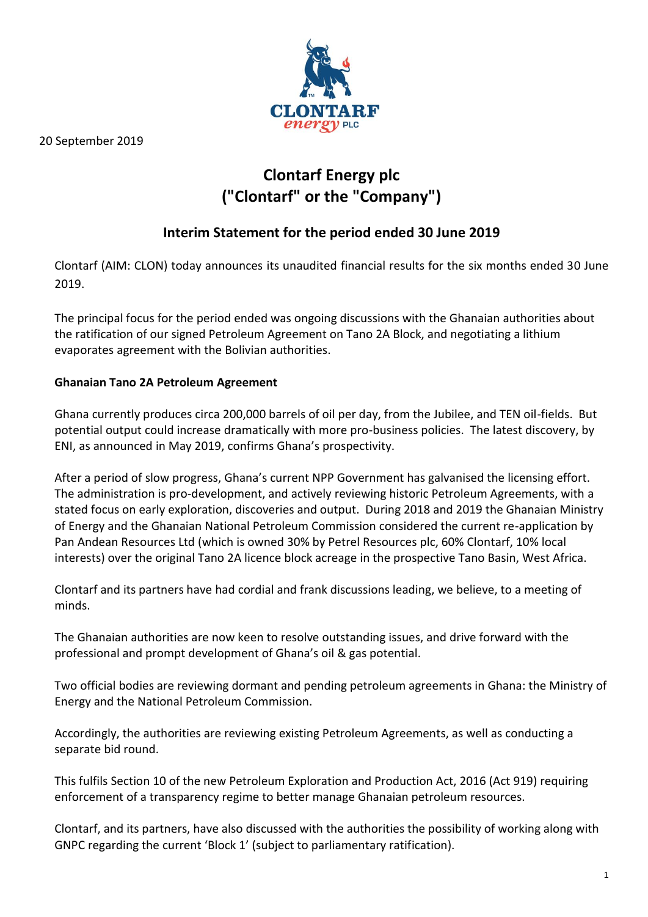

20 September 2019

# **Clontarf Energy plc ("Clontarf" or the "Company")**

# **Interim Statement for the period ended 30 June 2019**

Clontarf (AIM: CLON) today announces its unaudited financial results for the six months ended 30 June 2019.

The principal focus for the period ended was ongoing discussions with the Ghanaian authorities about the ratification of our signed Petroleum Agreement on Tano 2A Block, and negotiating a lithium evaporates agreement with the Bolivian authorities.

### **Ghanaian Tano 2A Petroleum Agreement**

Ghana currently produces circa 200,000 barrels of oil per day, from the Jubilee, and TEN oil-fields. But potential output could increase dramatically with more pro-business policies. The latest discovery, by ENI, as announced in May 2019, confirms Ghana's prospectivity.

After a period of slow progress, Ghana's current NPP Government has galvanised the licensing effort. The administration is pro-development, and actively reviewing historic Petroleum Agreements, with a stated focus on early exploration, discoveries and output. During 2018 and 2019 the Ghanaian Ministry of Energy and the Ghanaian National Petroleum Commission considered the current re-application by Pan Andean Resources Ltd (which is owned 30% by Petrel Resources plc, 60% Clontarf, 10% local interests) over the original Tano 2A licence block acreage in the prospective Tano Basin, West Africa.

Clontarf and its partners have had cordial and frank discussions leading, we believe, to a meeting of minds.

The Ghanaian authorities are now keen to resolve outstanding issues, and drive forward with the professional and prompt development of Ghana's oil & gas potential.

Two official bodies are reviewing dormant and pending petroleum agreements in Ghana: the Ministry of Energy and the National Petroleum Commission.

Accordingly, the authorities are reviewing existing Petroleum Agreements, as well as conducting a separate bid round.

This fulfils Section 10 of the new Petroleum Exploration and Production Act, 2016 (Act 919) requiring enforcement of a transparency regime to better manage Ghanaian petroleum resources.

Clontarf, and its partners, have also discussed with the authorities the possibility of working along with GNPC regarding the current 'Block 1' (subject to parliamentary ratification).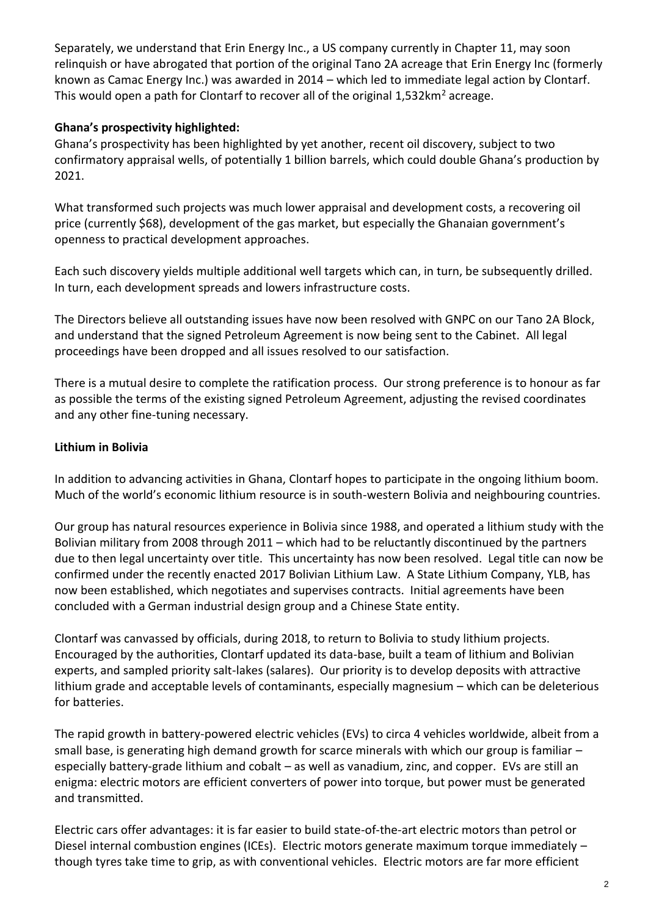Separately, we understand that Erin Energy Inc., a US company currently in Chapter 11, may soon relinquish or have abrogated that portion of the original Tano 2A acreage that Erin Energy Inc (formerly known as Camac Energy Inc.) was awarded in 2014 – which led to immediate legal action by Clontarf. This would open a path for Clontarf to recover all of the original  $1.532 \text{km}^2$  acreage.

### **Ghana's prospectivity highlighted:**

Ghana's prospectivity has been highlighted by yet another, recent oil discovery, subject to two confirmatory appraisal wells, of potentially 1 billion barrels, which could double Ghana's production by 2021.

What transformed such projects was much lower appraisal and development costs, a recovering oil price (currently \$68), development of the gas market, but especially the Ghanaian government's openness to practical development approaches.

Each such discovery yields multiple additional well targets which can, in turn, be subsequently drilled. In turn, each development spreads and lowers infrastructure costs.

The Directors believe all outstanding issues have now been resolved with GNPC on our Tano 2A Block, and understand that the signed Petroleum Agreement is now being sent to the Cabinet. All legal proceedings have been dropped and all issues resolved to our satisfaction.

There is a mutual desire to complete the ratification process. Our strong preference is to honour as far as possible the terms of the existing signed Petroleum Agreement, adjusting the revised coordinates and any other fine-tuning necessary.

### **Lithium in Bolivia**

In addition to advancing activities in Ghana, Clontarf hopes to participate in the ongoing lithium boom. Much of the world's economic lithium resource is in south-western Bolivia and neighbouring countries.

Our group has natural resources experience in Bolivia since 1988, and operated a lithium study with the Bolivian military from 2008 through 2011 – which had to be reluctantly discontinued by the partners due to then legal uncertainty over title. This uncertainty has now been resolved. Legal title can now be confirmed under the recently enacted 2017 Bolivian Lithium Law. A State Lithium Company, YLB, has now been established, which negotiates and supervises contracts. Initial agreements have been concluded with a German industrial design group and a Chinese State entity.

Clontarf was canvassed by officials, during 2018, to return to Bolivia to study lithium projects. Encouraged by the authorities, Clontarf updated its data-base, built a team of lithium and Bolivian experts, and sampled priority salt-lakes (salares). Our priority is to develop deposits with attractive lithium grade and acceptable levels of contaminants, especially magnesium – which can be deleterious for batteries.

The rapid growth in battery-powered electric vehicles (EVs) to circa 4 vehicles worldwide, albeit from a small base, is generating high demand growth for scarce minerals with which our group is familiar especially battery-grade lithium and cobalt – as well as vanadium, zinc, and copper. EVs are still an enigma: electric motors are efficient converters of power into torque, but power must be generated and transmitted.

Electric cars offer advantages: it is far easier to build state-of-the-art electric motors than petrol or Diesel internal combustion engines (ICEs). Electric motors generate maximum torque immediately – though tyres take time to grip, as with conventional vehicles. Electric motors are far more efficient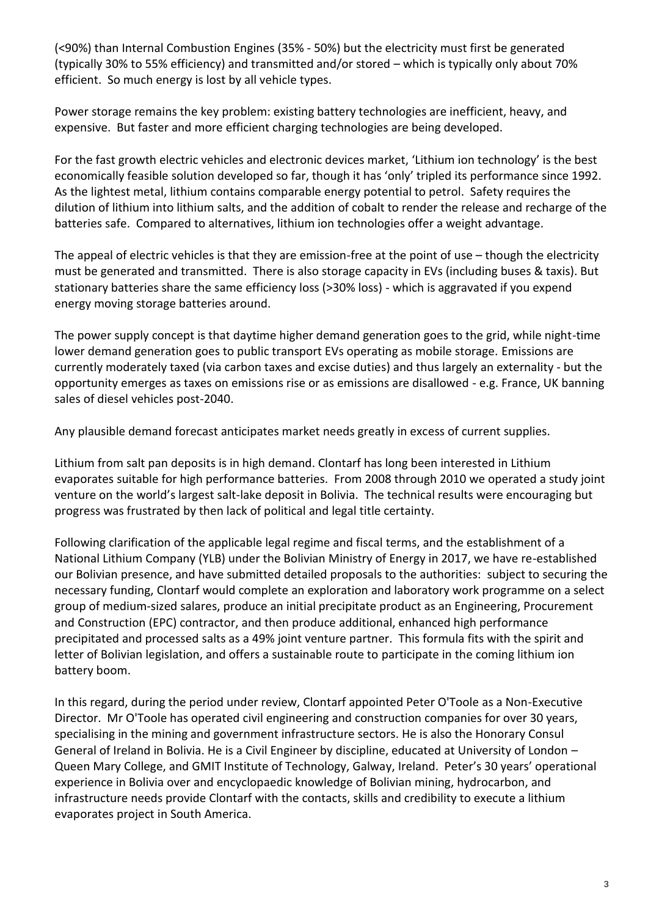(<90%) than Internal Combustion Engines (35% - 50%) but the electricity must first be generated (typically 30% to 55% efficiency) and transmitted and/or stored – which is typically only about 70% efficient. So much energy is lost by all vehicle types.

Power storage remains the key problem: existing battery technologies are inefficient, heavy, and expensive. But faster and more efficient charging technologies are being developed.

For the fast growth electric vehicles and electronic devices market, 'Lithium ion technology' is the best economically feasible solution developed so far, though it has 'only' tripled its performance since 1992. As the lightest metal, lithium contains comparable energy potential to petrol. Safety requires the dilution of lithium into lithium salts, and the addition of cobalt to render the release and recharge of the batteries safe. Compared to alternatives, lithium ion technologies offer a weight advantage.

The appeal of electric vehicles is that they are emission-free at the point of use – though the electricity must be generated and transmitted. There is also storage capacity in EVs (including buses & taxis). But stationary batteries share the same efficiency loss (>30% loss) - which is aggravated if you expend energy moving storage batteries around.

The power supply concept is that daytime higher demand generation goes to the grid, while night-time lower demand generation goes to public transport EVs operating as mobile storage. Emissions are currently moderately taxed (via carbon taxes and excise duties) and thus largely an externality - but the opportunity emerges as taxes on emissions rise or as emissions are disallowed - e.g. France, UK banning sales of diesel vehicles post-2040.

Any plausible demand forecast anticipates market needs greatly in excess of current supplies.

Lithium from salt pan deposits is in high demand. Clontarf has long been interested in Lithium evaporates suitable for high performance batteries. From 2008 through 2010 we operated a study joint venture on the world's largest salt-lake deposit in Bolivia. The technical results were encouraging but progress was frustrated by then lack of political and legal title certainty.

Following clarification of the applicable legal regime and fiscal terms, and the establishment of a National Lithium Company (YLB) under the Bolivian Ministry of Energy in 2017, we have re-established our Bolivian presence, and have submitted detailed proposals to the authorities: subject to securing the necessary funding, Clontarf would complete an exploration and laboratory work programme on a select group of medium-sized salares, produce an initial precipitate product as an Engineering, Procurement and Construction (EPC) contractor, and then produce additional, enhanced high performance precipitated and processed salts as a 49% joint venture partner. This formula fits with the spirit and letter of Bolivian legislation, and offers a sustainable route to participate in the coming lithium ion battery boom.

In this regard, during the period under review, Clontarf appointed Peter O'Toole as a Non-Executive Director. Mr O'Toole has operated civil engineering and construction companies for over 30 years, specialising in the mining and government infrastructure sectors. He is also the Honorary Consul General of Ireland in Bolivia. He is a Civil Engineer by discipline, educated at University of London – Queen Mary College, and GMIT Institute of Technology, Galway, Ireland. Peter's 30 years' operational experience in Bolivia over and encyclopaedic knowledge of Bolivian mining, hydrocarbon, and infrastructure needs provide Clontarf with the contacts, skills and credibility to execute a lithium evaporates project in South America.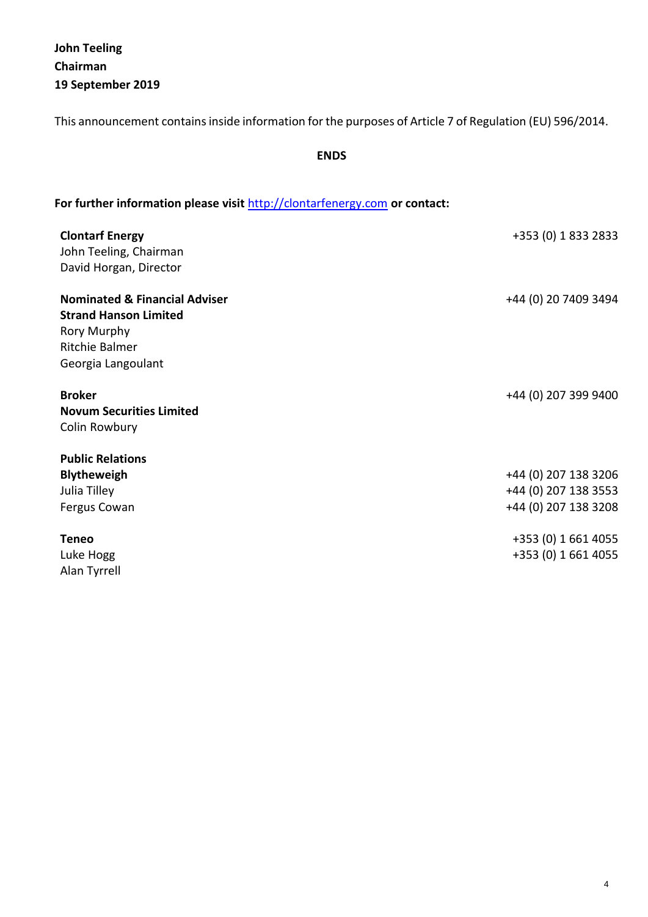**John Teeling Chairman 19 September 2019**

This announcement contains inside information for the purposes of Article 7 of Regulation (EU) 596/2014.

**ENDS**

# **For further information please visit** [http://clontarfenergy.com](http://clontarfenergy.com/) **or contact:**

| <b>Clontarf Energy</b><br>John Teeling, Chairman<br>David Horgan, Director                                                      | +353 (0) 1 833 2833  |
|---------------------------------------------------------------------------------------------------------------------------------|----------------------|
| <b>Nominated &amp; Financial Adviser</b><br><b>Strand Hanson Limited</b><br>Rory Murphy<br>Ritchie Balmer<br>Georgia Langoulant | +44 (0) 20 7409 3494 |
| <b>Broker</b><br><b>Novum Securities Limited</b><br>Colin Rowbury                                                               | +44 (0) 207 399 9400 |
| <b>Public Relations</b>                                                                                                         |                      |
| <b>Blytheweigh</b>                                                                                                              | +44 (0) 207 138 3206 |
| Julia Tilley                                                                                                                    | +44 (0) 207 138 3553 |
| Fergus Cowan                                                                                                                    | +44 (0) 207 138 3208 |
| <b>Teneo</b>                                                                                                                    | +353 (0) 1 661 4055  |
| Luke Hogg                                                                                                                       | +353 (0) 1 661 4055  |
| Alan Tyrrell                                                                                                                    |                      |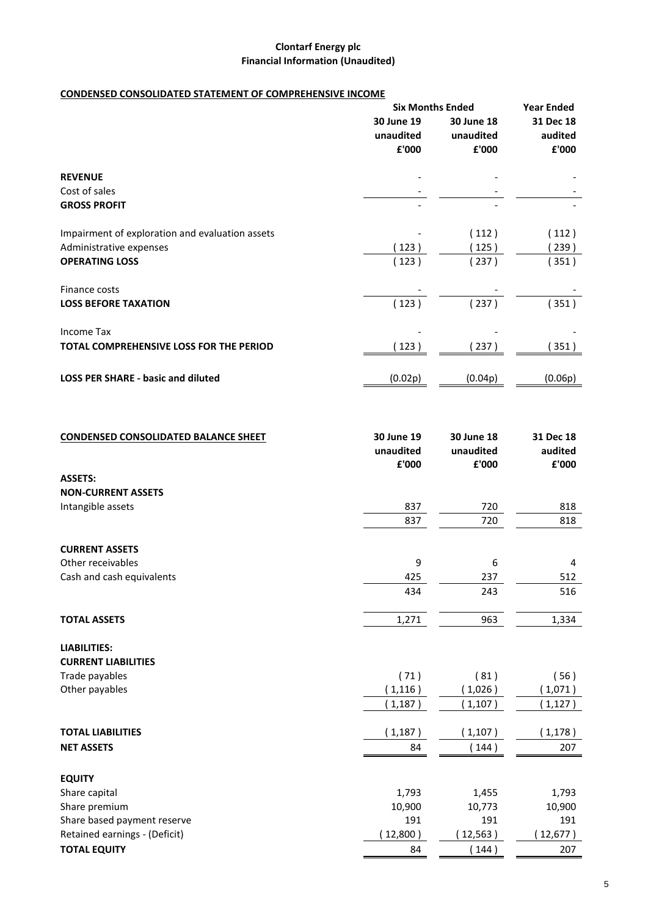### **Clontarf Energy plc Financial Information (Unaudited)**

### **CONDENSED CONSOLIDATED STATEMENT OF COMPREHENSIVE INCOME**

|                                                 | <b>Six Months Ended</b> |            | <b>Year Ended</b> |
|-------------------------------------------------|-------------------------|------------|-------------------|
|                                                 | 30 June 19              | 30 June 18 | 31 Dec 18         |
|                                                 | unaudited               | unaudited  | audited           |
|                                                 | £'000                   | £'000      | £'000             |
| <b>REVENUE</b>                                  |                         |            |                   |
| Cost of sales                                   |                         |            |                   |
| <b>GROSS PROFIT</b>                             |                         |            |                   |
| Impairment of exploration and evaluation assets |                         | (112)      | (112)             |
| Administrative expenses                         | (123)                   | (125)      | 239)              |
| <b>OPERATING LOSS</b>                           | (123)                   | (237)      | 351)              |
| Finance costs                                   |                         |            |                   |
| <b>LOSS BEFORE TAXATION</b>                     | (123)                   | (237)      | (351)             |
| <b>Income Tax</b>                               |                         |            |                   |
| TOTAL COMPREHENSIVE LOSS FOR THE PERIOD         | 123)                    | 237)       | 351)              |
|                                                 |                         |            |                   |
| <b>LOSS PER SHARE - basic and diluted</b>       | (0.02p)                 | (0.04p)    | (0.06p)           |

| <b>CONDENSED CONSOLIDATED BALANCE SHEET</b> | 30 June 19<br>unaudited<br>£'000 | 30 June 18<br>unaudited<br>£'000 | 31 Dec 18<br>audited<br>£'000 |
|---------------------------------------------|----------------------------------|----------------------------------|-------------------------------|
| <b>ASSETS:</b>                              |                                  |                                  |                               |
| <b>NON-CURRENT ASSETS</b>                   |                                  |                                  |                               |
| Intangible assets                           | 837                              | 720                              | 818                           |
|                                             | 837                              | 720                              | 818                           |
| <b>CURRENT ASSETS</b>                       |                                  |                                  |                               |
| Other receivables                           | 9                                | 6                                | 4                             |
| Cash and cash equivalents                   | 425                              | 237                              | 512                           |
|                                             | 434                              | 243                              | 516                           |
| <b>TOTAL ASSETS</b>                         | 1,271                            | 963                              | 1,334                         |
| <b>LIABILITIES:</b>                         |                                  |                                  |                               |
| <b>CURRENT LIABILITIES</b>                  |                                  |                                  |                               |
| Trade payables                              | (71)                             | (81)                             | (56)                          |
| Other payables                              | (1, 116)                         | (1,026)                          | 1,071)                        |
|                                             | (1, 187)                         | (1,107)                          | 1,127)                        |
| <b>TOTAL LIABILITIES</b>                    | (1, 187)                         | 1,107)                           | 1,178)                        |
| <b>NET ASSETS</b>                           | 84                               | (144)                            | 207                           |
| <b>EQUITY</b>                               |                                  |                                  |                               |
| Share capital                               | 1,793                            | 1,455                            | 1,793                         |
| Share premium                               | 10,900                           | 10,773                           | 10,900                        |
| Share based payment reserve                 | 191                              | 191                              | 191                           |
| Retained earnings - (Deficit)               | 12,800)                          | 12,563)                          | 12,677)                       |
| <b>TOTAL EQUITY</b>                         | 84                               | 144)                             | 207                           |
|                                             |                                  |                                  |                               |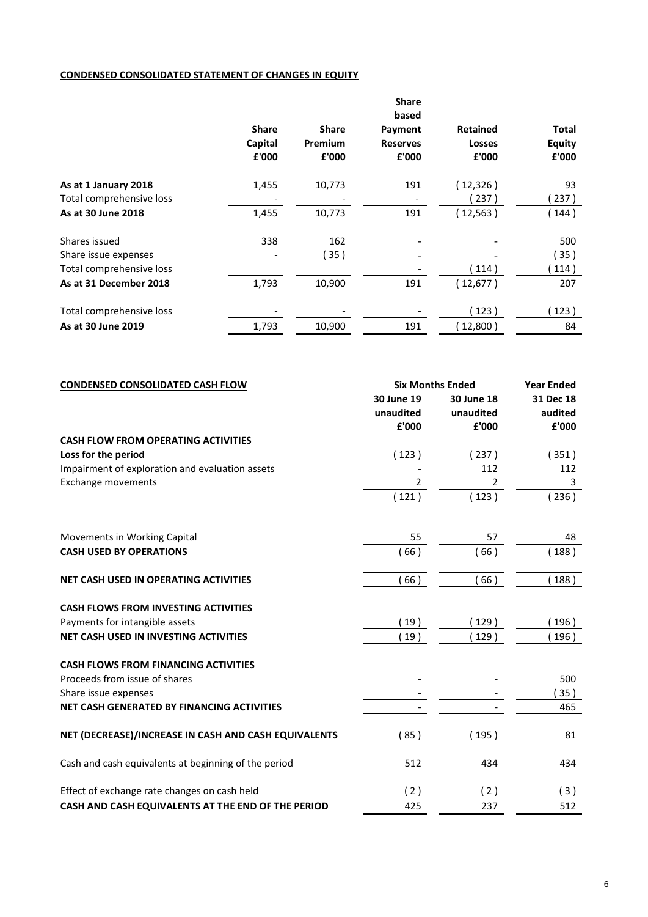### **CONDENSED CONSOLIDATED STATEMENT OF CHANGES IN EQUITY**

|                          |              |              | <b>Share</b><br>based |                 |               |
|--------------------------|--------------|--------------|-----------------------|-----------------|---------------|
|                          | <b>Share</b> | <b>Share</b> | Payment               | <b>Retained</b> | <b>Total</b>  |
|                          | Capital      | Premium      | <b>Reserves</b>       | <b>Losses</b>   | <b>Equity</b> |
|                          | £'000        | £'000        | £'000                 | £'000           | £'000         |
| As at 1 January 2018     | 1,455        | 10,773       | 191                   | (12, 326)       | 93            |
| Total comprehensive loss |              |              |                       | 237)            | 237)          |
| As at 30 June 2018       | 1,455        | 10,773       | 191                   | (12, 563)       | 144)          |
| Shares issued            | 338          | 162          |                       |                 | 500           |
| Share issue expenses     |              | (35)         |                       |                 | 35)           |
| Total comprehensive loss |              |              |                       | 114)            | 114)          |
| As at 31 December 2018   | 1,793        | 10,900       | 191                   | (12,677)        | 207           |
| Total comprehensive loss |              |              |                       | 123)            | 123)          |
| As at 30 June 2019       | 1,793        | 10,900       | 191                   | 12,800)         | 84            |

| <b>CONDENSED CONSOLIDATED CASH FLOW</b>              |                | <b>Six Months Ended</b> |           |  |
|------------------------------------------------------|----------------|-------------------------|-----------|--|
|                                                      | 30 June 19     | 30 June 18              | 31 Dec 18 |  |
|                                                      | unaudited      | unaudited               | audited   |  |
|                                                      | £'000          | £'000                   | £'000     |  |
| <b>CASH FLOW FROM OPERATING ACTIVITIES</b>           |                |                         |           |  |
| Loss for the period                                  | (123)          | (237)                   | (351)     |  |
| Impairment of exploration and evaluation assets      |                | 112                     | 112       |  |
| <b>Exchange movements</b>                            | $\overline{2}$ | 2                       | 3         |  |
|                                                      | (121)          | (123)                   | (236)     |  |
| Movements in Working Capital                         | 55             | 57                      | 48        |  |
| <b>CASH USED BY OPERATIONS</b>                       | 66)            | (66)                    | 188)      |  |
| NET CASH USED IN OPERATING ACTIVITIES                | 66)            | (66)                    | 188)      |  |
| <b>CASH FLOWS FROM INVESTING ACTIVITIES</b>          |                |                         |           |  |
| Payments for intangible assets                       | 19)            | (129)                   | 196)      |  |
| NET CASH USED IN INVESTING ACTIVITIES                | 19)            | 129)                    | 196)      |  |
| <b>CASH FLOWS FROM FINANCING ACTIVITIES</b>          |                |                         |           |  |
| Proceeds from issue of shares                        |                |                         | 500       |  |
| Share issue expenses                                 |                |                         | 35)       |  |
| NET CASH GENERATED BY FINANCING ACTIVITIES           |                |                         | 465       |  |
| NET (DECREASE)/INCREASE IN CASH AND CASH EQUIVALENTS | (85)           | (195)                   | 81        |  |
| Cash and cash equivalents at beginning of the period | 512            | 434                     | 434       |  |
| Effect of exchange rate changes on cash held         | (2)            | (2)                     | (3)       |  |
| CASH AND CASH EQUIVALENTS AT THE END OF THE PERIOD   | 425            | 237                     | 512       |  |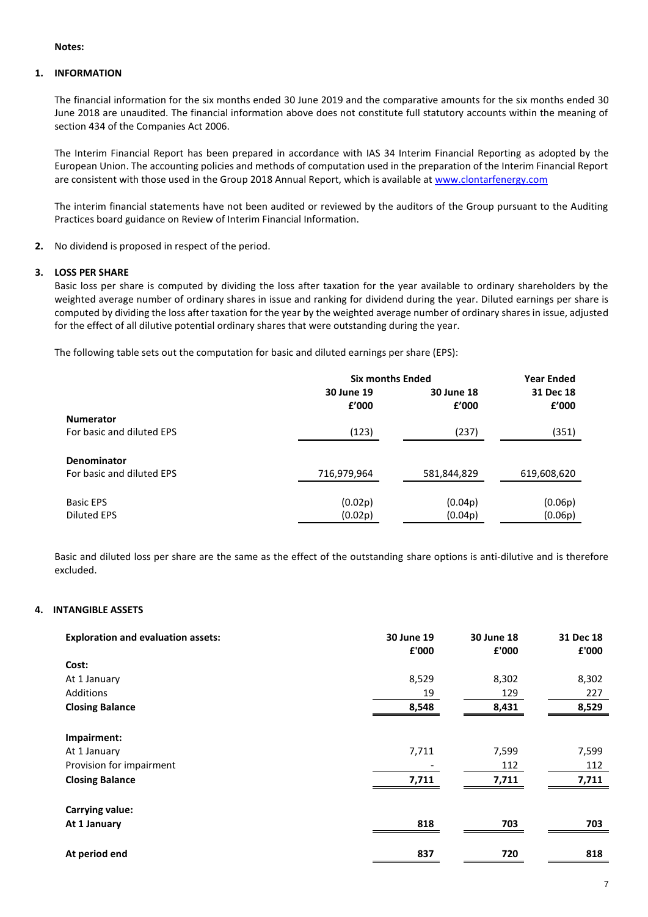#### **Notes:**

#### **1. INFORMATION**

The financial information for the six months ended 30 June 2019 and the comparative amounts for the six months ended 30 June 2018 are unaudited. The financial information above does not constitute full statutory accounts within the meaning of section 434 of the Companies Act 2006.

The Interim Financial Report has been prepared in accordance with IAS 34 Interim Financial Reporting as adopted by the European Union. The accounting policies and methods of computation used in the preparation of the Interim Financial Report are consistent with those used in the Group 2018 Annual Report, which is available at [www.clontarfenergy.com](http://www.clontarfenergy.com/)

The interim financial statements have not been audited or reviewed by the auditors of the Group pursuant to the Auditing Practices board guidance on Review of Interim Financial Information.

**2.** No dividend is proposed in respect of the period.

#### **3. LOSS PER SHARE**

Basic loss per share is computed by dividing the loss after taxation for the year available to ordinary shareholders by the weighted average number of ordinary shares in issue and ranking for dividend during the year. Diluted earnings per share is computed by dividing the loss after taxation for the year by the weighted average number of ordinary shares in issue, adjusted for the effect of all dilutive potential ordinary shares that were outstanding during the year.

The following table sets out the computation for basic and diluted earnings per share (EPS):

|                           | <b>Six months Ended</b> | <b>Year Ended</b>   |                    |
|---------------------------|-------------------------|---------------------|--------------------|
|                           | 30 June 19<br>£'000     | 30 June 18<br>f'000 | 31 Dec 18<br>£'000 |
| <b>Numerator</b>          |                         |                     |                    |
| For basic and diluted EPS | (123)                   | (237)               | (351)              |
| Denominator               |                         |                     |                    |
| For basic and diluted EPS | 716,979,964             | 581,844,829         | 619,608,620        |
| <b>Basic EPS</b>          | (0.02p)                 | (0.04p)             | (0.06p)            |
| <b>Diluted EPS</b>        | (0.02p)                 | (0.04p)             | (0.06p)            |

Basic and diluted loss per share are the same as the effect of the outstanding share options is anti-dilutive and is therefore excluded.

#### **4. INTANGIBLE ASSETS**

| <b>Exploration and evaluation assets:</b> | 30 June 19<br>£'000 | 30 June 18<br>£'000 | 31 Dec 18<br>£'000 |
|-------------------------------------------|---------------------|---------------------|--------------------|
| Cost:                                     |                     |                     |                    |
| At 1 January                              | 8,529               | 8,302               | 8,302              |
| Additions                                 | 19                  | 129                 | 227                |
| <b>Closing Balance</b>                    | 8,548               | 8,431               | 8,529              |
|                                           |                     |                     |                    |
| Impairment:                               |                     |                     |                    |
| At 1 January                              | 7,711               | 7,599               | 7,599              |
| Provision for impairment                  |                     | 112                 | 112                |
| <b>Closing Balance</b>                    | 7,711               | 7,711               | 7,711              |
| <b>Carrying value:</b>                    |                     |                     |                    |
| At 1 January                              | 818                 | 703                 | 703                |
| At period end                             | 837                 | 720                 | 818                |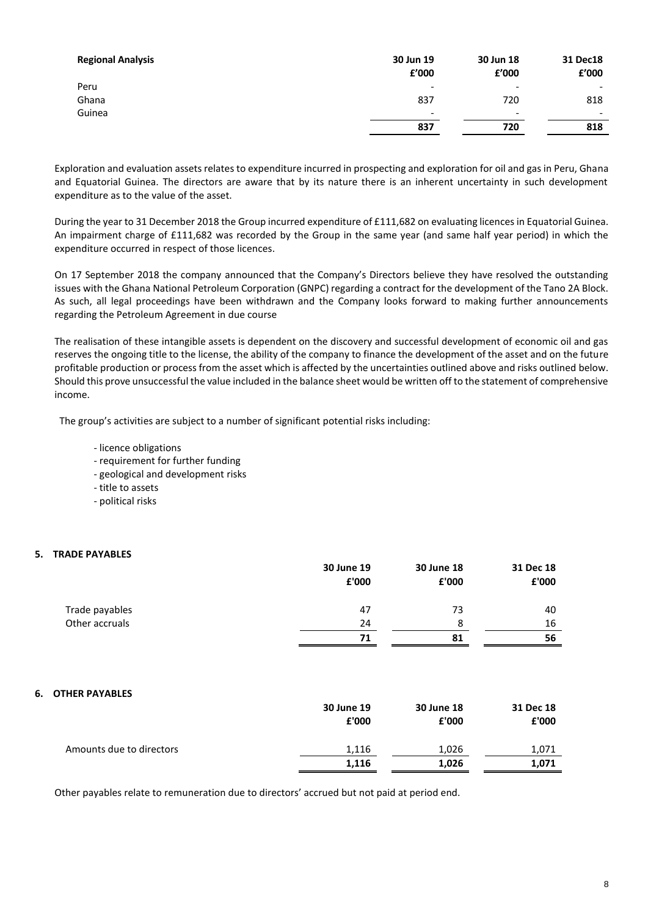| £'000                    | 30 Jun 18<br>£'000       | 31 Dec18<br>£'000        |
|--------------------------|--------------------------|--------------------------|
| $\overline{\phantom{a}}$ | $\overline{\phantom{0}}$ |                          |
| 837                      | 720                      | 818                      |
| $\overline{\phantom{0}}$ | $\overline{\phantom{0}}$ | $\overline{\phantom{0}}$ |
| 837                      | 720                      | 818                      |
|                          | 30 Jun 19                |                          |

Exploration and evaluation assets relates to expenditure incurred in prospecting and exploration for oil and gas in Peru, Ghana and Equatorial Guinea. The directors are aware that by its nature there is an inherent uncertainty in such development expenditure as to the value of the asset.

During the year to 31 December 2018 the Group incurred expenditure of £111,682 on evaluating licences in Equatorial Guinea. An impairment charge of £111,682 was recorded by the Group in the same year (and same half year period) in which the expenditure occurred in respect of those licences.

On 17 September 2018 the company announced that the Company's Directors believe they have resolved the outstanding issues with the Ghana National Petroleum Corporation (GNPC) regarding a contract for the development of the Tano 2A Block. As such, all legal proceedings have been withdrawn and the Company looks forward to making further announcements regarding the Petroleum Agreement in due course

The realisation of these intangible assets is dependent on the discovery and successful development of economic oil and gas reserves the ongoing title to the license, the ability of the company to finance the development of the asset and on the future profitable production or process from the asset which is affected by the uncertainties outlined above and risks outlined below. Should this prove unsuccessful the value included in the balance sheet would be written off to the statement of comprehensive income.

The group's activities are subject to a number of significant potential risks including:

- licence obligations
- requirement for further funding
- geological and development risks
- title to assets
- political risks

#### **5. TRADE PAYABLES**

|                | 30 June 19 | 30 June 18 | 31 Dec 18 |
|----------------|------------|------------|-----------|
|                | £'000      | £'000      | £'000     |
| Trade payables | 47         | 73         | 40        |
| Other accruals | 24         | 8          | 16        |
|                | 71         | 81         | 56        |

#### **6. OTHER PAYABLES**

|                          | 30 June 19<br>£'000 | 30 June 18<br>£'000 | 31 Dec 18<br>£'000 |
|--------------------------|---------------------|---------------------|--------------------|
| Amounts due to directors | 1,116               | 1,026               | 1.071              |
|                          | 1,116               | 1,026               | 1,071              |

Other payables relate to remuneration due to directors' accrued but not paid at period end.